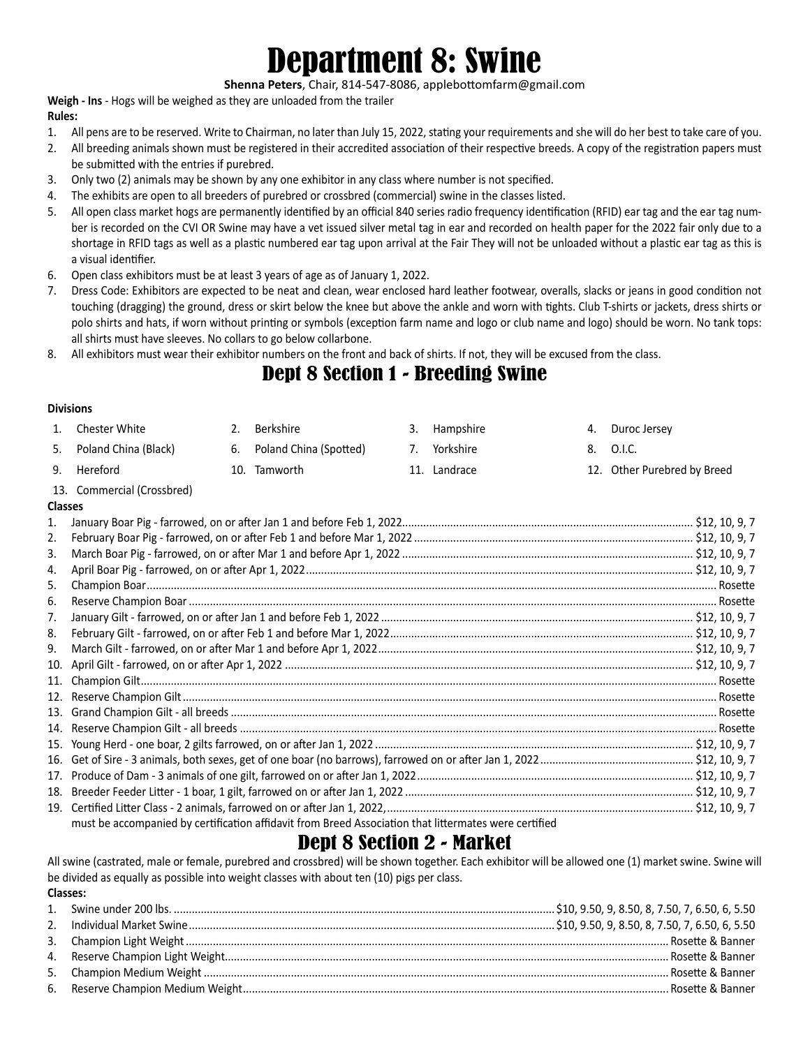# Department 8: Swine

**Shenna Peters**, Chair, 814-547-8086, applebottomfarm@gmail.com

**Weigh - Ins** - Hogs will be weighed as they are unloaded from the trailer

#### **Rules:**

- 1. All pens are to be reserved. Write to Chairman, no later than July 15, 2022, stating your requirements and she will do her best to take care of you.
- 2. All breeding animals shown must be registered in their accredited association of their respective breeds. A copy of the registration papers must be submitted with the entries if purebred.
- 3. Only two (2) animals may be shown by any one exhibitor in any class where number is not specified.
- 4. The exhibits are open to all breeders of purebred or crossbred (commercial) swine in the classes listed.
- 5. All open class market hogs are permanently identified by an official 840 series radio frequency identification (RFID) ear tag and the ear tag number is recorded on the CVI OR Swine may have a vet issued silver metal tag in ear and recorded on health paper for the 2022 fair only due to a shortage in RFID tags as well as a plastic numbered ear tag upon arrival at the Fair They will not be unloaded without a plastic ear tag as this is a visual identifier.
- 6. Open class exhibitors must be at least 3 years of age as of January 1, 2022.
- 7. Dress Code: Exhibitors are expected to be neat and clean, wear enclosed hard leather footwear, overalls, slacks or jeans in good condition not touching (dragging) the ground, dress or skirt below the knee but above the ankle and worn with tights. Club T-shirts or jackets, dress shirts or polo shirts and hats, if worn without printing or symbols (exception farm name and logo or club name and logo) should be worn. No tank tops: all shirts must have sleeves. No collars to go below collarbone.
- 8. All exhibitors must wear their exhibitor numbers on the front and back of shirts. If not, they will be excused from the class.

# Dept 8 Section 1 - Breeding Swine

#### **Divisions**

| 1.             | <b>Chester White</b>                                                                                  | 2. | Berkshire              | 3. | Hampshire    | 4. | Duroc Jersey                |
|----------------|-------------------------------------------------------------------------------------------------------|----|------------------------|----|--------------|----|-----------------------------|
| 5.             | Poland China (Black)                                                                                  | 6. | Poland China (Spotted) | 7. | Yorkshire    | 8. | 0.I.C.                      |
| 9.             | Hereford                                                                                              |    | 10. Tamworth           |    | 11. Landrace |    | 12. Other Purebred by Breed |
|                | 13. Commercial (Crossbred)                                                                            |    |                        |    |              |    |                             |
| <b>Classes</b> |                                                                                                       |    |                        |    |              |    |                             |
| 1.             |                                                                                                       |    |                        |    |              |    |                             |
| 2.             |                                                                                                       |    |                        |    |              |    |                             |
| 3.             |                                                                                                       |    |                        |    |              |    |                             |
| 4.             |                                                                                                       |    |                        |    |              |    |                             |
| 5.             |                                                                                                       |    |                        |    |              |    |                             |
| 6.             |                                                                                                       |    |                        |    |              |    |                             |
| 7.             |                                                                                                       |    |                        |    |              |    |                             |
| 8.             |                                                                                                       |    |                        |    |              |    |                             |
| 9.             |                                                                                                       |    |                        |    |              |    |                             |
|                |                                                                                                       |    |                        |    |              |    |                             |
|                |                                                                                                       |    |                        |    |              |    |                             |
|                |                                                                                                       |    |                        |    |              |    |                             |
|                |                                                                                                       |    |                        |    |              |    |                             |
|                |                                                                                                       |    |                        |    |              |    |                             |
|                |                                                                                                       |    |                        |    |              |    |                             |
|                |                                                                                                       |    |                        |    |              |    |                             |
|                |                                                                                                       |    |                        |    |              |    |                             |
|                |                                                                                                       |    |                        |    |              |    |                             |
|                |                                                                                                       |    |                        |    |              |    |                             |
|                | must be accompanied by certification affidavit from Breed Association that littermates were certified |    |                        |    |              |    |                             |

# Dept 8 Section 2 - Market

All swine (castrated, male or female, purebred and crossbred) will be shown together. Each exhibitor will be allowed one (1) market swine. Swine will be divided as equally as possible into weight classes with about ten (10) pigs per class. **Classes:**